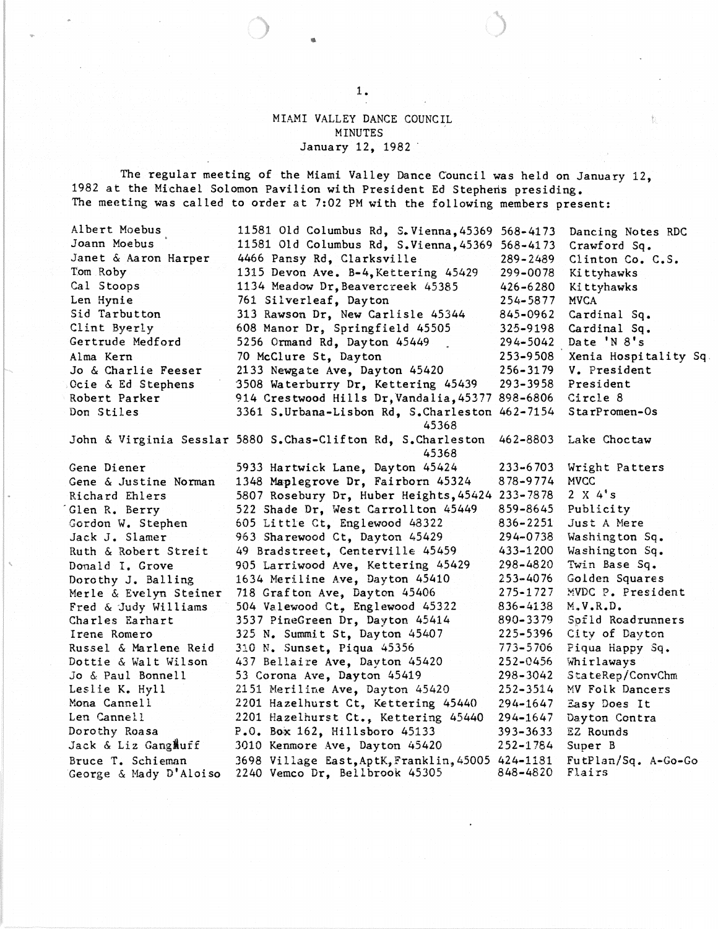MIAMI VALLEY DANCE COUNCIL MINUTES January 12, 1982 .

The regular meeting of the Miami Valley Dance Council was held on January 12, 1982 at the Michael Solomon Pavilion with President Ed Stephens presiding. The meeting was called to order at 7:02 PM with the following members present:

Albert Moebus Joann Moebus . Janet & Aaron Harper Tom Roby Cal Stoops Len Hynie Sid Tarbutton Clint Byerly Gertrude Medford Alma Kern Jo & Charlie Feeser Ocie & Ed Stephens , Robert Parker Don Stiles 11581 Old Columbus Rd, S.Vienna,45369 568-4173 11581 Old Columbus Rd, S.Vienna,45369 568-4173 4466 Pansy Rd, Clarksville 1315 Devon Ave. B-4,Kettering 45429 1134 Meadow Dr, Beavercreek 45385 761 Silverleaf, Dayton 313 Rawson Dr, New Carlisle 45344 608 Manor Dr, Springfield 45505 5256 Ormand Rd, Dayton 45449 70 McClure St, Dayton 2133 Newgate Ave, Dayton 45420 3508 Waterburry Dr, Kettering 45439 914 Crestwood Hills Dr,Vandalia,45377 898-6806 3361 S.Urbana-Lisbon Rd, S.Charleston 462-7154 45368 289-2489 299-0078 426-6280 254-5877 845-0962 325-9198 294-5042 253-9508 256-3179 293-3958 Dancing Notes RDC Crawford Sq. Clinton Co. C.S. Kittyhawks Kittyhawks MVCA Cardinal Sq. Cardinal Sq. Date 'N 8's Xenia Hospitality Sq. V. President President Circle 8 S ta rPromen-Os John & Virginia Sesslar 5880 S.Chas-Clifton Rd, S.Charleston 462-8803 Lake Choctaw 45368 Gene Diener Gene & Justine Norman Richard Ehlers 'Glen R. Berry Gordon W. Stephen Jack J. Slamer Ruth & Robert Streit Donald I. Grove Dorothy J. Balling Merle & Evelyn Steiner Fred & Judy Williams Charles Earhart Irene Romero Russel & Marlene Reid Dottie & Walt Wilson Jo & Paul Bonnell Leslie K. Hyll Mona Cannell Len Cannell Dorothy Roasa Jack & Liz GangMuff Bruce T. Schieman George & Mady D' Aloiso 5933 Hartwick Lane, Dayton 45424 233-6703 Wright Patters 1348 Maplegrove Dr, Fairborn 45324 878-9774 MVCC 5807 Rosebury Dr, Huber Heights,45424 233-7878 2 X 4·s 522 Shade Dr, West Carrollton 45449 859-8645 Publicity  $605$  Little Ct, Englewood  $48322$  836-2251 Just A Mere 963 Sharewood Ct, Dayton 45429 294-0738 Washington Sq. 49 Bradstreet, Centerville 45459 433-1200 Washington Sq. 905 Larriwood Ave, Kettering 45429 298-4820 Twin Base Sq. 1634 Meriline Ave, Dayton 45410 253-4076 Golden Squares 718 Grafton Ave, Dayton 45406 275-1727 MVDC P. President 504 Valewood Ct, Englewood 45322 836-4138 M.V.R.D. 3537 PineGreen Dr, Dayton 45414 890-3379 Spfld Roadrunners 325 N. Summit St, Dayton 45407 225-5396 City of Dayton 310 N. Sunset, Piqua 45356 773-5706 437 Bellaire Ave, Dayton 45420 252-0456 Whirlaways 53 Corona Ave, Dayton 45419 298-3042 StateRep/ConvChm 2151 Meriline Ave, Dayton 45420 252-3514 MV Folk Dancers 2201 Hazelhurst Ct, Kettering 45440 294-1647 Easy Does It 2201 Hazelhurst Ct., Kettering 45440 294-1647 Dayton Contra P.O. Box 162, Hillsboro 45133 393-3633 EZ Rounds 3010 Kenmore Ave, Dayton 45420 252-1784 Super B 3698 Village East,AptK,Franklin,45005 424-1181 FutPlan/Sq. A-Go-Go 2240 Vemco Dr, Bellbrook 45305

1.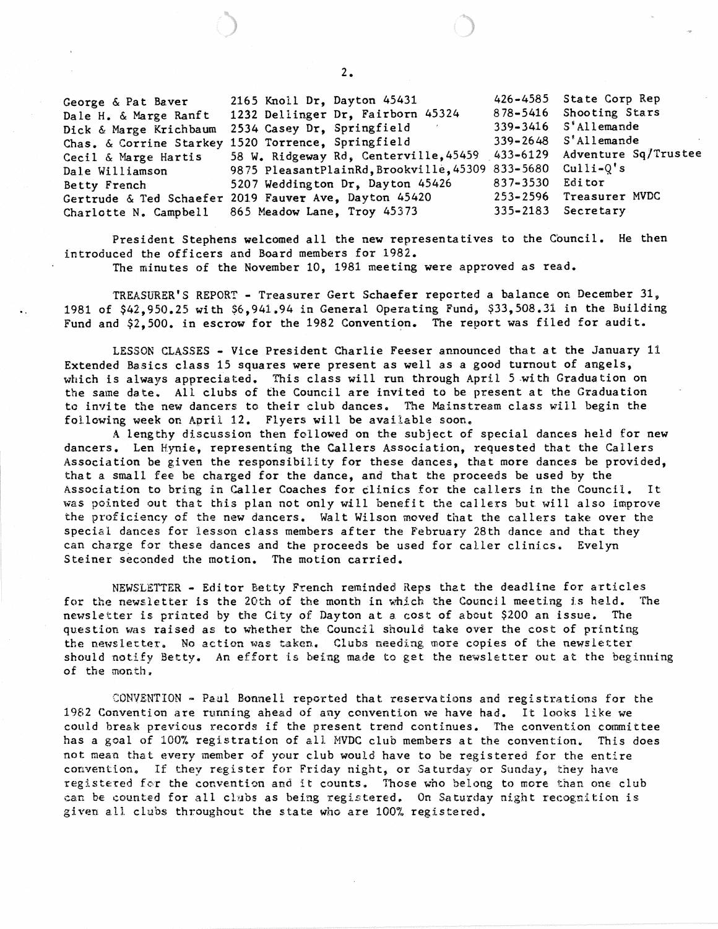George & Pat Baver Dale H. & Marge Ranft Dick & Marge Krichbaum 2534 Casey Dr, Springfield 339-3416 Chas. & Corrine Starkey 1520 Torrence, Springfield 339-2648 Cecil & Marge Hartis Dale Williamson Betty French Gertrude & Ted Schaefer 2019 Fauver Ave, Dayton 45420 253-2596 Charlotte N. Campbell 2165 Knoll Dr, Dayton 45431 426-4585<br>1232 Dellinger Dr. Fairborn 45324 878-5416 1232 Dellinger Dr, Fairborn 45324 58 W. Ridgeway Rd, Centerville,45459 433-6129 9875 PleasantPlainRd, Brookville, 45309 833-5680 5207 Weddington Dr, Dayton 45426 837-3530<br>2019 Fauver Ave, Dayton 45420 253-2596 865 Meadow Lane, Troy 45373 335-2183 State Corp Rep Shooting Stars S' Allemande S'Allemande Adventure Sq/Trustee  $Culli-Q's$ Editor Treasurer MVDC Secretary

President Stephens welcomed all the new representatives to the Council. He then introduced the officers and Board members for 1982.

The minutes of the November 10, 1981 meeting were approved as read.

TREASURER'S REPORT - Treasurer Gert Schaefer reported a balance on December 31, 1981 of \$42,950.25 with \$6,941.94 in General Operating Fund, \$33,508.31 in the Building Fund and  $$2,500.$  in escrow for the 1982 Convention. The report was filed for audit.

LESSON CLASSES - Vice President Charlie Feeser announced that at the January 11 Extended Basics class 15 squares were present as well as a good turnout of angels, which is always appreciated. This class will run through April 5 with Graduation on the same date. All clubs of the Council are invited to be present at the Graduation to invi te the new dancers to their club dances. The Mainstream class will begin the following week on April 12. Flyers will be available soon.

A lengthy discussion then followed on the subject of special dances held for new dancers. Len Hynie, representing the Callers Association, requested that the Callers Association be given the responsibility for these dances, that more dances be provided, that a small fee be charged for the dance, and that the proceeds be used by the Association to bring in Caller Coaches for clinics for the callers in the Council. It was pointed out that this plan not only will benefit the callers but will also improve the proficiency of the new dancers. Walt Wilson moved that the callers take over the special dances for lesson class members after the February 28th dance and that they can charge for these dances and the proceeds be used for caller clinics. Evelyn Steiner seconded the motion. The motion carried.

NEWSLETTER - Editor Betty French reminded Reps that the deadline for articles for the newsletter is the 20th of the month in which the Council meeting is held. The newsletter is printed by the City of Dayton at a cost of about \$200 an issue. The question was raised as to whether the Council should take over the cost of printing the newsletter. No action was taken. Clubs needing more copies of the newsletter should notify Betty. An effort is being made to get the newsletter out at the beginning of the month.

CONVENTION ~ Paul Bonnell reported that reservations and registrations for the 1982 Convention are running ahead of any convention we have had. It looks like we could break previous records if the present trend continues. The convention committee has a goal of 100% registration of all MVDC club members at the convention. This does not mean that every member of your club would have to be registered for the entire convention. If they register for Friday night, or Saturday or Sunday, they have registered for the convention and it counts. Those who belong to more than one club can be counted for all clubs as being registered. On Saturday night recognition is given all clubs throughout the state who are 100% registered.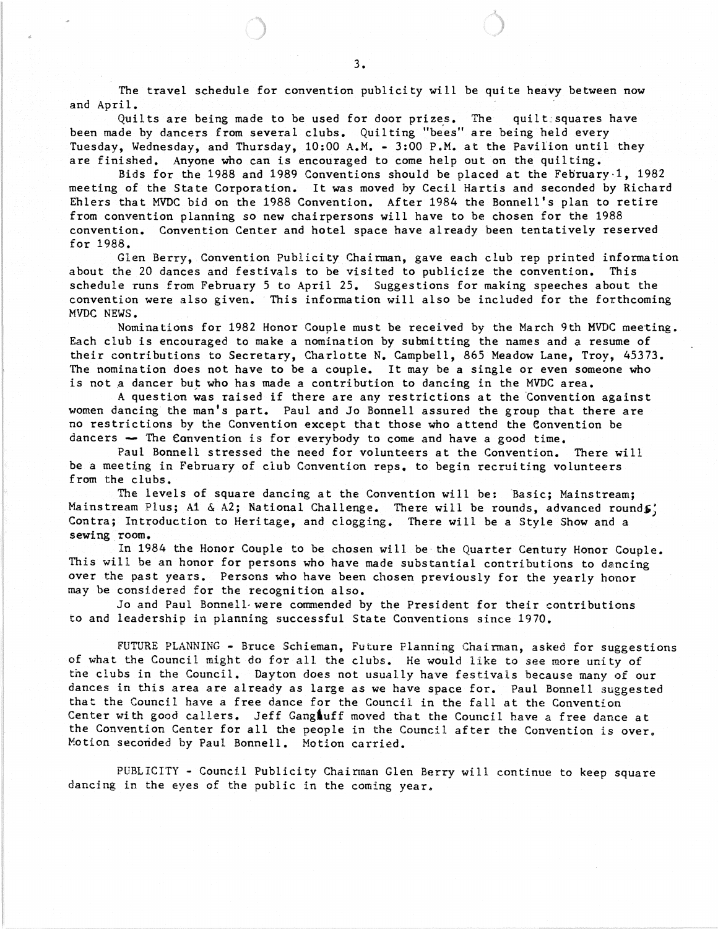The travel schedule for convention publicity will be quite heavy between now and April.

Quilts are being made to be used for door prizes. The quilt squares have been made by dancers from several clubs. Quilting "bees" are being held every Tuesday, Wednesday, and Thursday, 10:00 A.M. - 3:00 P.M. at the PaviLion until they are finished. Anyone who can is encouraged to come help out on the quilting.

Bids for the 1988 and 1989 Conventions should be placed at the Feoruary·1, 1982 meeting of the State Corporation. It was moved by Cecil Hartis and seconded by Richard Ehlers that MYDC bid on the 1988 Convention. After 1984 the Bonnell's plan to retire from convention planning so new chairpersons will have to be chosen for the 1988 convention. Convention Center and hotel space have already been tentatively reserved for 1988.

Glen Berry, Convention Publicity Chairman, gave each club rep printed information about the 20 dances and festivals to be visited to publicize the convention. This schedule runs from February 5 to April 25. Suggestions for making speeches about the convention were also given. 'This information will also be included for the forthcoming MYDC NEWS.

Nominations for 1982 Honor Couple must be received by the March 9th MYDC meeting. Each club is encouraged to make a nomination by submitting the names and a resume of their contributions to Secretary, Charlotte N. Campbell, 865 Meadow Lane, Troy, 45373. The nomination does not have to be a couple. It may be a single or even someone who is not a dancer but who has made a contribution to dancing in the MVDC area.

A question was raised if there are any restrictions at the "Convention against women dancing the man's part. Paul and Jo Bonnell assured the group that there are no restrictions by the Convention except that those who attend the Convention be dancers  $-$  The Convention is for everybody to come and have a good time.

Paul Bonnell stressed the need for volunteers at the Convention. There will be a meeting in February of club Convention reps. to begin recruiting volunteers from the clubs.

The levels of square dancing at the Convention will be: Basic; Mainstream; Mainstream Plus; A1 & A2; National Challenge. There will be rounds, advanced rounds; Contra; Introduction to Heritage, and clogging. There will be a Style Show and a sewing room.

In 1984 the Honor Couple to be chosen will be the Quarter Century Honor Couple. This will be an honor for persons who have made substantial contributions to dancing over the past years. Persons who have been chosen previously for the yearly honor may be considered for the recognition also.

Jo and Paul Bonnell-were commended by the President for their contributions to and leadership in planning successful State Conventions since 1970.

FUTURE PLANNING - Bruce Schieman, Future Planning Chairman, asked for suggestions of what the Council might do for all the clubs. He would like to see more uni ty of the clubs in the Council. Dayton does not usually have festivals because many of our dances in this area are already as large as we have space for. Paul Bonnell suggested that the Council have a free dance for the Council in the fall at the Convention Center with good callers. Jeff Gangluff moved that the Council have a free dance at the Convention Center for all the people in the Council after the Convention is over. Motion seconded by Paul Bonnell. Motion carried.

PUBLICITY - Council Publicity Chairman Glen Berry will continue to keep square dancing in the eyes of the public in the coming year.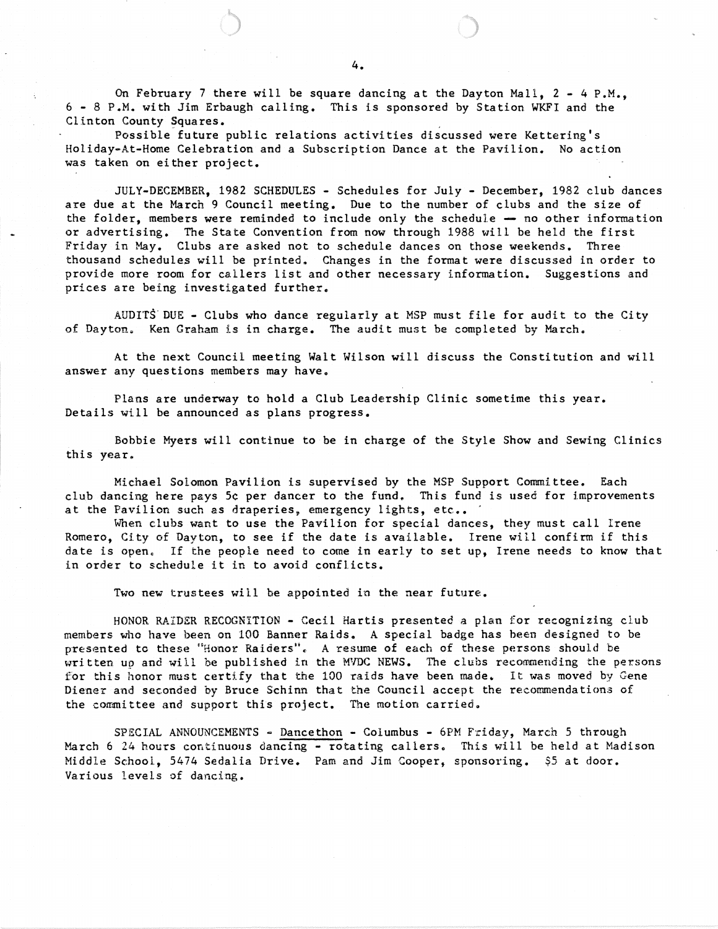On February 7 there will be square dancing at the Dayton Mall,  $2 - 4$  P.M., 6 - 8 P.M. with Jim Erbaugh calling. This is sponsored by Station WKFI and the Clinton County Squares.

Possible future public relations activities discussed were Kettering's Holiday-At-Home Celebration and a Subscription Dance at the Pavilion. No action was taken on either project.

JULY-DECEMBER, 1982 SCHEDULES - Schedules for July - December, 1982 club dances are due at the March 9 Council meeting. Due to the number of clubs and the size of the folder, members were reminded to include only the schedule  $-$  no other information or advertising. The State Convention from now through 1988 will be held the first Friday in May. Clubs are asked not to schedule dances on those weekends. Three thousand schedules will be printed. Changes in the format were discussed in order to provide more room for callers list and other necessary information. Suggestions and prices are being investigated further.

AUDITS' DUE - Clubs who dance regularly at MSP must file for audit to the City of Dayton. Ken Graham is in charge. The audit must be completed by March.

At the next Council meeting Walt Wilson will discuss the Constitution and will answer any questions members may have.

Plans are underway to hold a Club Leadership Clinic sometime this year. Details will be announced as plans progress.

Bobbie Myers will continue to be in charge of the Style Show and Sewing Clinics this year.

Michael Solomon Pavilion is supervised by the MSP Support Committee. Each club dancing here pays 5c per dancer to the fund. This fund is used for improvements at the Pavilion such as draperies, emergency lights, etc..

When clubs want to use the Pavilion for special dances, they must call Irene Romero, CIty of Dayton, to see if the date is available. Irene will confirm if this date is open. If the people need to come in early to set up, Irene needs to know that in order to schedule it in to avoid conflicts.

Two new trustees will be appointed in the near future.

HDNOR RAIDER RECOGNITION - Cecil Hartis presented a plan for recognizing club members who have been on 100 Banner Raids. A special badge has been designed to be presented to these "Honor Raiders".. A resume of each of these persons should be written up and will be published in the HYDC NEWS. The clubs recommending the persons for this honor must certify that the 100 raids have been made. It was moved by Gene Diener and seconded by Bruce Schinn that the Council accept the recommendations of the committee and support this project. The motion carried.

SPECIAL ANNOUNCEMENTS - Dancethon - Columbus - 6PM Friday, March 5 through March 6 24 hours continuous dancing - rotating callers. This will be held at Madison Middle School, 5474 Sedalia Drive. Pam and Jim Cooper, sponsoring. \$5 at door. Various levels of dancing.